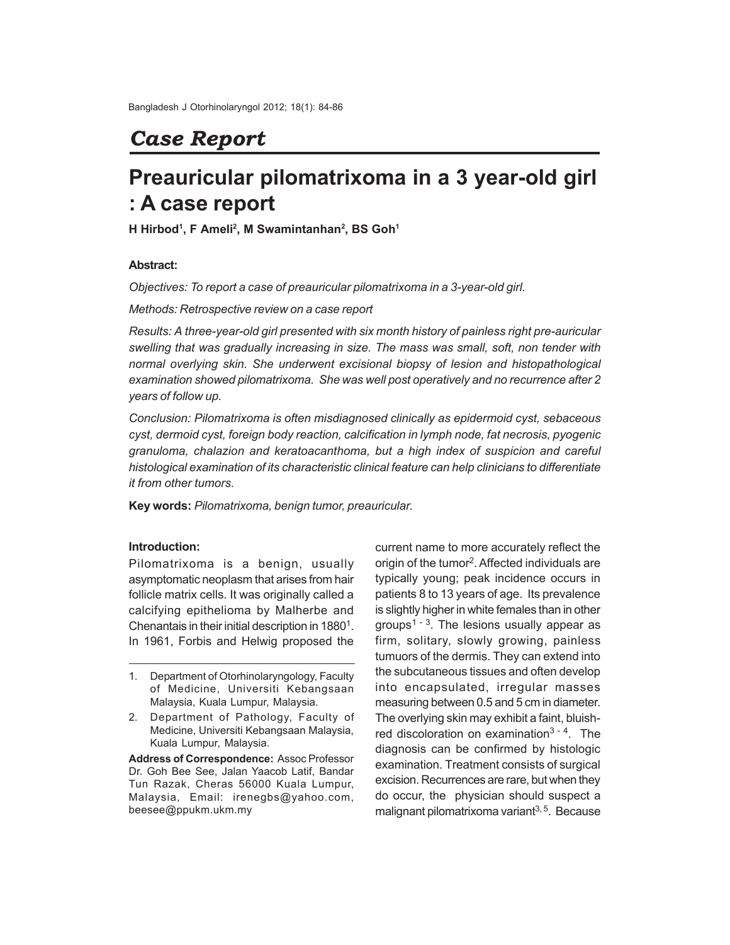## *Case Report*

# **Preauricular pilomatrixoma in a 3 year-old girl : A case report**

**H Hirbod<sup>1</sup> , F Ameli<sup>2</sup> , M Swamintanhan<sup>2</sup> , BS Goh<sup>1</sup>**

## **Abstract:**

*Objectives: To report a case of preauricular pilomatrixoma in a 3-year-old girl.*

*Methods: Retrospective review on a case report*

*Results: A three-year-old girl presented with six month history of painless right pre-auricular swelling that was gradually increasing in size. The mass was small, soft, non tender with normal overlying skin. She underwent excisional biopsy of lesion and histopathological examination showed pilomatrixoma. She was well post operatively and no recurrence after 2 years of follow up.*

*Conclusion: Pilomatrixoma is often misdiagnosed clinically as epidermoid cyst, sebaceous cyst, dermoid cyst, foreign body reaction, calcification in lymph node, fat necrosis, pyogenic granuloma, chalazion and keratoacanthoma, but a high index of suspicion and careful histological examination of its characteristic clinical feature can help clinicians to differentiate it from other tumors.*

**Key words:** *Pilomatrixoma, benign tumor, preauricular.*

## **Introduction:**

Pilomatrixoma is a benign, usually asymptomatic neoplasm that arises from hair follicle matrix cells. It was originally called a calcifying epithelioma by Malherbe and Chenantais in their initial description in  $1880<sup>1</sup>$ . In 1961, Forbis and Helwig proposed the

**Address of Correspondence:** Assoc Professor Dr. Goh Bee See, Jalan Yaacob Latif, Bandar Tun Razak, Cheras 56000 Kuala Lumpur, Malaysia, Email: irenegbs@yahoo.com, beesee@ppukm.ukm.my

current name to more accurately reflect the origin of the tumor<sup>2</sup>. Affected individuals are typically young; peak incidence occurs in patients 8 to 13 years of age. Its prevalence is slightly higher in white females than in other groups<sup> $1 - 3$ </sup>. The lesions usually appear as firm, solitary, slowly growing, painless tumuors of the dermis. They can extend into the subcutaneous tissues and often develop into encapsulated, irregular masses measuring between 0.5 and 5 cm in diameter. The overlying skin may exhibit a faint, bluishred discoloration on examination<sup>3 - 4</sup>. The diagnosis can be confirmed by histologic examination. Treatment consists of surgical excision. Recurrences are rare, but when they do occur, the physician should suspect a malignant pilomatrixoma variant $3,5$ . Because

<sup>1.</sup> Department of Otorhinolaryngology, Faculty of Medicine, Universiti Kebangsaan Malaysia, Kuala Lumpur, Malaysia.

<sup>2.</sup> Department of Pathology, Faculty of Medicine, Universiti Kebangsaan Malaysia, Kuala Lumpur, Malaysia.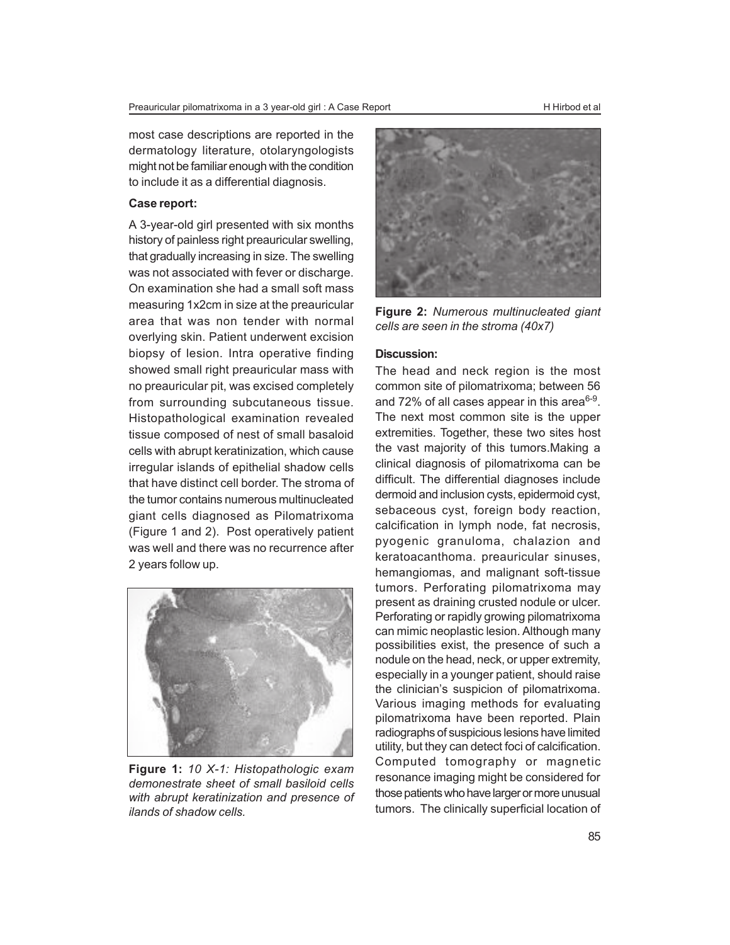most case descriptions are reported in the dermatology literature, otolaryngologists might not be familiar enough with the condition to include it as a differential diagnosis.

#### Case report:

A 3-year-old girl presented with six months history of painless right preauricular swelling, that gradually increasing in size. The swelling was not associated with fever or discharge. On examination she had a small soft mass measuring 1x2cm in size at the preauricular area that was non tender with normal overlying skin. Patient underwent excision biopsy of lesion. Intra operative finding showed small right preauricular mass with no preauricular pit, was excised completely from surrounding subcutaneous tissue. Histopathological examination revealed tissue composed of nest of small basaloid cells with abrupt keratinization, which cause irregular islands of epithelial shadow cells that have distinct cell border. The stroma of the tumor contains numerous multinucleated giant cells diagnosed as Pilomatrixoma (Figure 1 and 2). Post operatively patient was well and there was no recurrence after 2 years follow up.



**Figure 1:** *10 X-1: Histopathologic exam demonestrate sheet of small basiloid cells with abrupt keratinization and presence of ilands of shadow cells.*



**Figure 2:** *Numerous multinucleated giant cells are seen in the stroma (40x7)*

### **Discussion:**

The head and neck region is the most common site of pilomatrixoma; between 56 and 72% of all cases appear in this area $6-9$ . The next most common site is the upper extremities. Together, these two sites host the vast majority of this tumors.Making a clinical diagnosis of pilomatrixoma can be difficult. The differential diagnoses include dermoid and inclusion cysts, epidermoid cyst, sebaceous cyst, foreign body reaction, calcification in lymph node, fat necrosis, pyogenic granuloma, chalazion and keratoacanthoma. preauricular sinuses, hemangiomas, and malignant soft-tissue tumors. Perforating pilomatrixoma may present as draining crusted nodule or ulcer. Perforating or rapidly growing pilomatrixoma can mimic neoplastic lesion. Although many possibilities exist, the presence of such a nodule on the head, neck, or upper extremity, especially in a younger patient, should raise the clinician's suspicion of pilomatrixoma. Various imaging methods for evaluating pilomatrixoma have been reported. Plain radiographs of suspicious lesions have limited utility, but they can detect foci of calcification. Computed tomography or magnetic resonance imaging might be considered for those patients who have larger or more unusual tumors. The clinically superficial location of